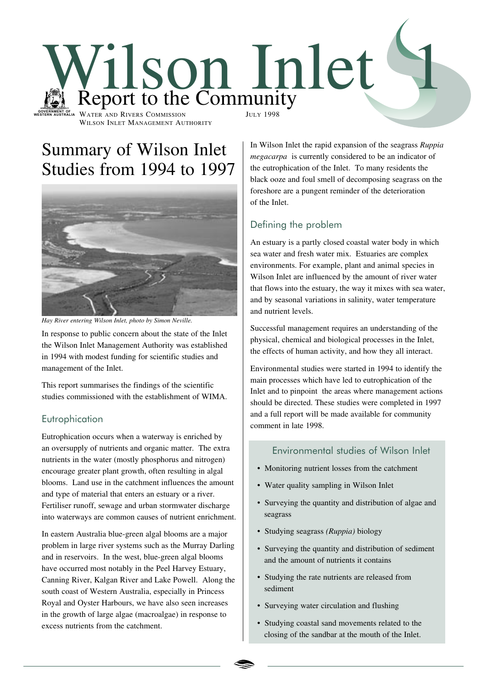

# Summary of Wilson Inlet Studies from 1994 to 1997



*Hay River entering Wilson Inlet, photo by Simon Neville.*

In response to public concern about the state of the Inlet the Wilson Inlet Management Authority was established in 1994 with modest funding for scientific studies and management of the Inlet.

This report summarises the findings of the scientific studies commissioned with the establishment of WIMA.

### **Eutrophication**

Eutrophication occurs when a waterway is enriched by an oversupply of nutrients and organic matter. The extra nutrients in the water (mostly phosphorus and nitrogen) encourage greater plant growth, often resulting in algal blooms. Land use in the catchment influences the amount and type of material that enters an estuary or a river. Fertiliser runoff, sewage and urban stormwater discharge into waterways are common causes of nutrient enrichment.

In eastern Australia blue-green algal blooms are a major problem in large river systems such as the Murray Darling and in reservoirs. In the west, blue-green algal blooms have occurred most notably in the Peel Harvey Estuary, Canning River, Kalgan River and Lake Powell. Along the south coast of Western Australia, especially in Princess Royal and Oyster Harbours, we have also seen increases in the growth of large algae (macroalgae) in response to excess nutrients from the catchment.

In Wilson Inlet the rapid expansion of the seagrass *Ruppia megacarpa* is currently considered to be an indicator of the eutrophication of the Inlet. To many residents the black ooze and foul smell of decomposing seagrass on the foreshore are a pungent reminder of the deterioration of the Inlet.

### Defining the problem

An estuary is a partly closed coastal water body in which sea water and fresh water mix. Estuaries are complex environments. For example, plant and animal species in Wilson Inlet are influenced by the amount of river water that flows into the estuary, the way it mixes with sea water, and by seasonal variations in salinity, water temperature and nutrient levels.

Successful management requires an understanding of the physical, chemical and biological processes in the Inlet, the effects of human activity, and how they all interact.

Environmental studies were started in 1994 to identify the main processes which have led to eutrophication of the Inlet and to pinpoint the areas where management actions should be directed. These studies were completed in 1997 and a full report will be made available for community comment in late 1998.

#### Environmental studies of Wilson Inlet

- Monitoring nutrient losses from the catchment
- Water quality sampling in Wilson Inlet
- Surveying the quantity and distribution of algae and seagrass
- Studying seagrass *(Ruppia)* biology
- Surveying the quantity and distribution of sediment and the amount of nutrients it contains
- Studying the rate nutrients are released from sediment
- Surveying water circulation and flushing
- Studying coastal sand movements related to the closing of the sandbar at the mouth of the Inlet.

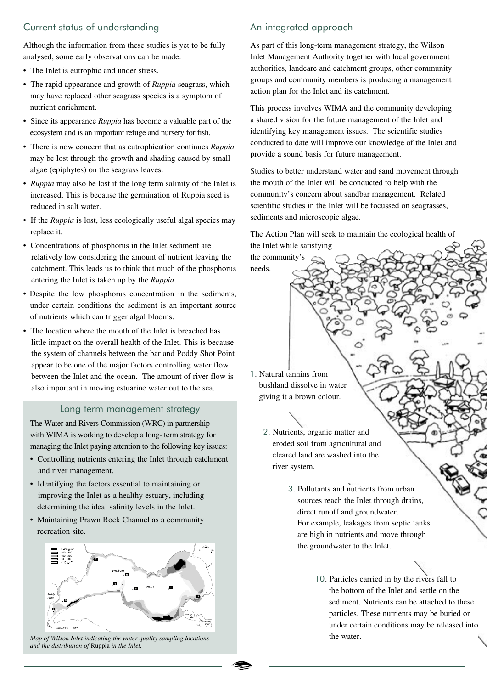### Current status of understanding

Although the information from these studies is yet to be fully analysed, some early observations can be made:

- The Inlet is eutrophic and under stress.
- The rapid appearance and growth of *Ruppia* seagrass, which may have replaced other seagrass species is a symptom of nutrient enrichment.
- Since its appearance *Ruppia* has become a valuable part of the ecosystem and is an important refuge and nursery for fish.
- There is now concern that as eutrophication continues *Ruppia* may be lost through the growth and shading caused by small algae (epiphytes) on the seagrass leaves.
- *Ruppia* may also be lost if the long term salinity of the Inlet is increased. This is because the germination of Ruppia seed is reduced in salt water.
- If the *Ruppia* is lost, less ecologically useful algal species may replace it.
- Concentrations of phosphorus in the Inlet sediment are relatively low considering the amount of nutrient leaving the catchment. This leads us to think that much of the phosphorus entering the Inlet is taken up by the *Ruppia*.
- Despite the low phosphorus concentration in the sediments, under certain conditions the sediment is an important source of nutrients which can trigger algal blooms.
- The location where the mouth of the Inlet is breached has little impact on the overall health of the Inlet. This is because the system of channels between the bar and Poddy Shot Point appear to be one of the major factors controlling water flow between the Inlet and the ocean. The amount of river flow is also important in moving estuarine water out to the sea.

### Long term management strategy

The Water and Rivers Commission (WRC) in partnership with WIMA is working to develop a long- term strategy for managing the Inlet paying attention to the following key issues:

- Controlling nutrients entering the Inlet through catchment and river management.
- Identifying the factors essential to maintaining or improving the Inlet as a healthy estuary, including determining the ideal salinity levels in the Inlet.
- Maintaining Prawn Rock Channel as a community recreation site.



*Map of Wilson Inlet indicating the water quality sampling locations and the distribution of* Ruppia *in the Inlet.*

# An integrated approach

As part of this long-term management strategy, the Wilson Inlet Management Authority together with local government authorities, landcare and catchment groups, other community groups and community members is producing a management action plan for the Inlet and its catchment.

This process involves WIMA and the community developing a shared vision for the future management of the Inlet and identifying key management issues. The scientific studies conducted to date will improve our knowledge of the Inlet and provide a sound basis for future management.

Studies to better understand water and sand movement through the mouth of the Inlet will be conducted to help with the community's concern about sandbar management. Related scientific studies in the Inlet will be focussed on seagrasses, sediments and microscopic algae.

The Action Plan will seek to maintain the ecological health of the Inlet while satisfying



- 1. Natural tannins from bushland dissolve in water giving it a brown colour.
	- 2. Nutrients, organic matter and eroded soil from agricultural and cleared land are washed into the river system.
		- 3. Pollutants and nutrients from urban sources reach the Inlet through drains, direct runoff and groundwater. For example, leakages from septic tanks are high in nutrients and move through the groundwater to the Inlet.
			- 10. Particles carried in by the rivers fall to the bottom of the Inlet and settle on the sediment. Nutrients can be attached to these particles. These nutrients may be buried or under certain conditions may be released into the water.

WATER AND RIVERS COMMISSION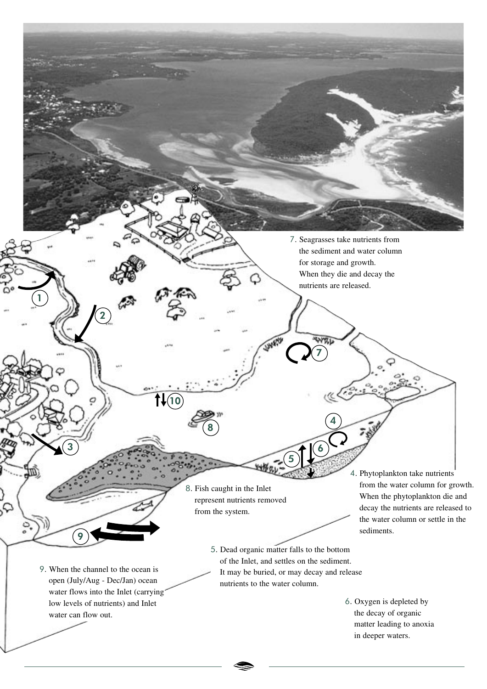